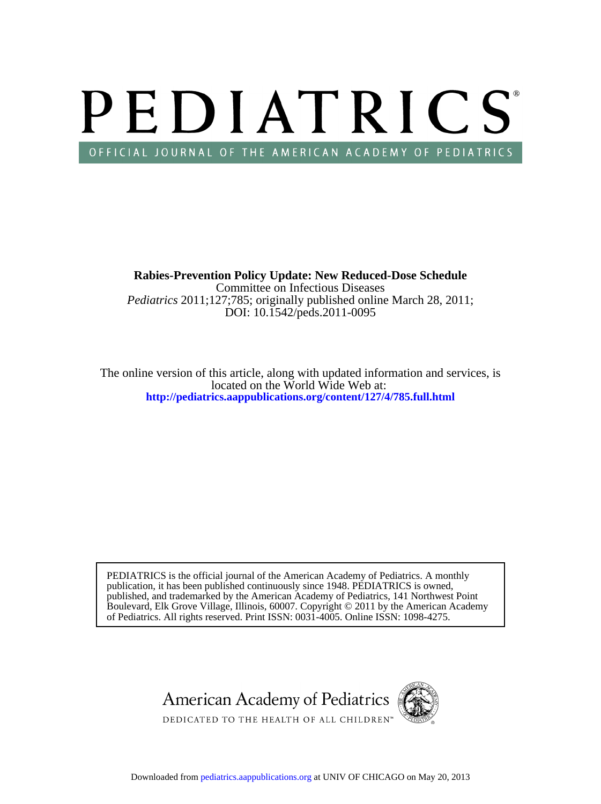# PEDIATRICS OFFICIAL JOURNAL OF THE AMERICAN ACADEMY OF PEDIATRICS

DOI: 10.1542/peds.2011-0095 *Pediatrics* 2011;127;785; originally published online March 28, 2011; Committee on Infectious Diseases **Rabies-Prevention Policy Update: New Reduced-Dose Schedule**

**<http://pediatrics.aappublications.org/content/127/4/785.full.html>** located on the World Wide Web at: The online version of this article, along with updated information and services, is

of Pediatrics. All rights reserved. Print ISSN: 0031-4005. Online ISSN: 1098-4275. Boulevard, Elk Grove Village, Illinois, 60007. Copyright © 2011 by the American Academy published, and trademarked by the American Academy of Pediatrics, 141 Northwest Point publication, it has been published continuously since 1948. PEDIATRICS is owned, PEDIATRICS is the official journal of the American Academy of Pediatrics. A monthly

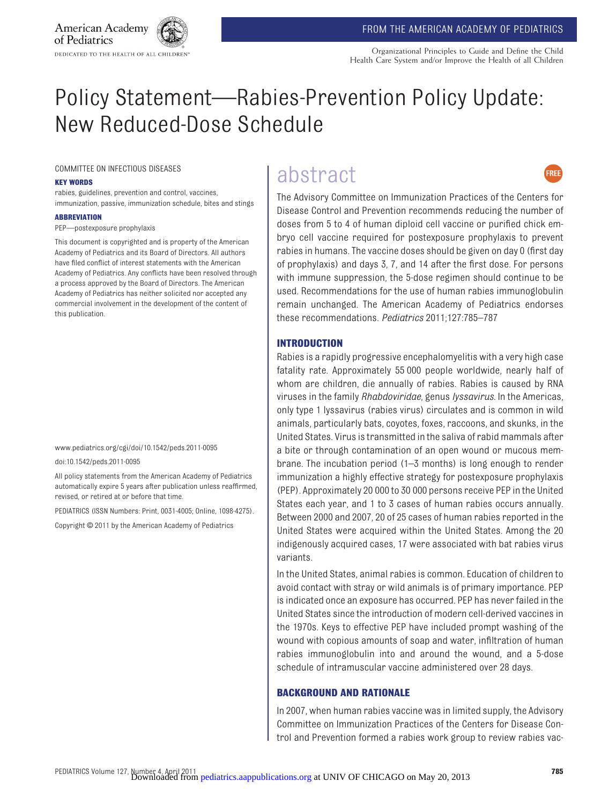**FRFF** 

Organizational Principles to Guide and Define the Child Health Care System and/or Improve the Health of all Children

#### **American Academy** of Pediatrics DEDICATED TO THE HEALTH OF ALL CHILDREN

## Policy Statement—Rabies-Prevention Policy Update: New Reduced-Dose Schedule

COMMITTEE ON INFECTIOUS DISEASES

#### **KEY WORDS**

rabies, guidelines, prevention and control, vaccines, immunization, passive, immunization schedule, bites and stings

#### **ABBREVIATION**

PEP—postexposure prophylaxis

This document is copyrighted and is property of the American Academy of Pediatrics and its Board of Directors. All authors have filed conflict of interest statements with the American Academy of Pediatrics. Any conflicts have been resolved through a process approved by the Board of Directors. The American Academy of Pediatrics has neither solicited nor accepted any commercial involvement in the development of the content of this publication.

www.pediatrics.org/cgi/doi/10.1542/peds.2011-0095

doi:10.1542/peds.2011-0095

All policy statements from the American Academy of Pediatrics automatically expire 5 years after publication unless reaffirmed, revised, or retired at or before that time.

PEDIATRICS (ISSN Numbers: Print, 0031-4005; Online, 1098-4275).

Copyright © 2011 by the American Academy of Pediatrics

### abstract

The Advisory Committee on Immunization Practices of the Centers for Disease Control and Prevention recommends reducing the number of doses from 5 to 4 of human diploid cell vaccine or purified chick embryo cell vaccine required for postexposure prophylaxis to prevent rabies in humans. The vaccine doses should be given on day 0 (first day of prophylaxis) and days 3, 7, and 14 after the first dose. For persons with immune suppression, the 5-dose regimen should continue to be used. Recommendations for the use of human rabies immunoglobulin remain unchanged. The American Academy of Pediatrics endorses these recommendations. *Pediatrics* 2011;127:785–787

#### **INTRODUCTION**

Rabies is a rapidly progressive encephalomyelitis with a very high case fatality rate. Approximately 55 000 people worldwide, nearly half of whom are children, die annually of rabies. Rabies is caused by RNA viruses in the family *Rhabdoviridae*, genus *lyssavirus*. In the Americas, only type 1 lyssavirus (rabies virus) circulates and is common in wild animals, particularly bats, coyotes, foxes, raccoons, and skunks, in the United States. Virus is transmitted in the saliva of rabid mammals after a bite or through contamination of an open wound or mucous membrane. The incubation period (1–3 months) is long enough to render immunization a highly effective strategy for postexposure prophylaxis (PEP). Approximately 20 000 to 30 000 persons receive PEP in the United States each year, and 1 to 3 cases of human rabies occurs annually. Between 2000 and 2007, 20 of 25 cases of human rabies reported in the United States were acquired within the United States. Among the 20 indigenously acquired cases, 17 were associated with bat rabies virus variants.

In the United States, animal rabies is common. Education of children to avoid contact with stray or wild animals is of primary importance. PEP is indicated once an exposure has occurred. PEP has never failed in the United States since the introduction of modern cell-derived vaccines in the 1970s. Keys to effective PEP have included prompt washing of the wound with copious amounts of soap and water, infiltration of human rabies immunoglobulin into and around the wound, and a 5-dose schedule of intramuscular vaccine administered over 28 days.

#### **BACKGROUND AND RATIONALE**

In 2007, when human rabies vaccine was in limited supply, the Advisory Committee on Immunization Practices of the Centers for Disease Control and Prevention formed a rabies work group to review rabies vac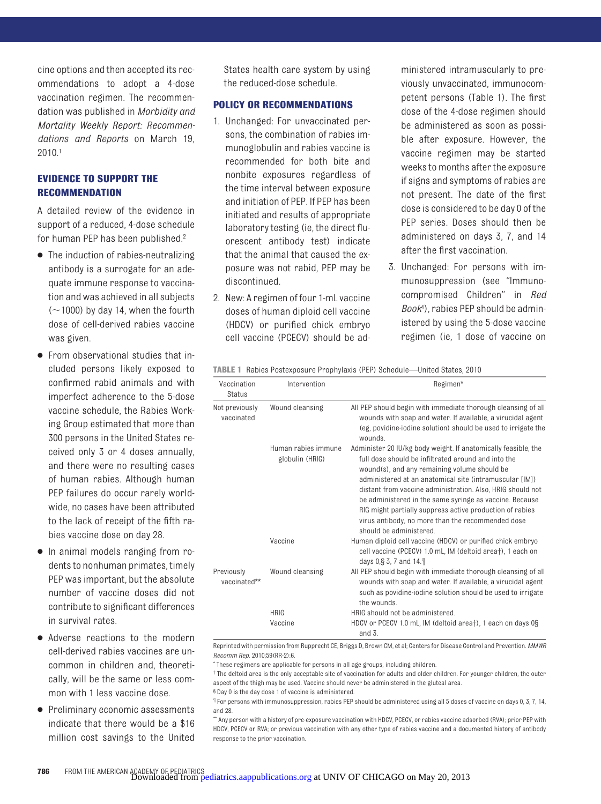cine options and then accepted its recommendations to adopt a 4-dose vaccination regimen. The recommendation was published in *Morbidity and Mortality Weekly Report: Recommendations and Reports* on March 19, 2010[.1](#page-3-0)

#### **EVIDENCE TO SUPPORT THE RECOMMENDATION**

A detailed review of the evidence in support of a reduced, 4-dose schedule for human PEP has been published[.2](#page-3-1)

- The induction of rabies-neutralizing antibody is a surrogate for an adequate immune response to vaccination and was achieved in all subjects  $(-1000)$  by day 14, when the fourth dose of cell-derived rabies vaccine was given.
- From observational studies that included persons likely exposed to confirmed rabid animals and with imperfect adherence to the 5-dose vaccine schedule, the Rabies Working Group estimated that more than 300 persons in the United States received only 3 or 4 doses annually, and there were no resulting cases of human rabies. Although human PEP failures do occur rarely worldwide, no cases have been attributed to the lack of receipt of the fifth rabies vaccine dose on day 28.
- In animal models ranging from rodents to nonhuman primates, timely PEP was important, but the absolute number of vaccine doses did not contribute to significant differences in survival rates.
- Adverse reactions to the modern cell-derived rabies vaccines are uncommon in children and, theoretically, will be the same or less common with 1 less vaccine dose.
- Preliminary economic assessments indicate that there would be a \$16 million cost savings to the United

States health care system by using the reduced-dose schedule.

#### **POLICY OR RECOMMENDATIONS**

- 1. Unchanged: For unvaccinated persons, the combination of rabies immunoglobulin and rabies vaccine is recommended for both bite and nonbite exposures regardless of the time interval between exposure and initiation of PEP. If PEP has been initiated and results of appropriate laboratory testing (ie, the direct fluorescent antibody test) indicate that the animal that caused the exposure was not rabid, PEP may be discontinued.
- 2. New: A regimen of four 1-mL vaccine doses of human diploid cell vaccine (HDCV) or purified chick embryo cell vaccine (PCECV) should be ad-

ministered intramuscularly to previously unvaccinated, immunocompetent persons [\(Table 1\)](#page-2-0). The first dose of the 4-dose regimen should be administered as soon as possible after exposure. However, the vaccine regimen may be started weeks to months after the exposure if signs and symptoms of rabies are not present. The date of the first dose is considered to be day 0 of the PEP series. Doses should then be administered on days 3, 7, and 14 after the first vaccination.

3. Unchanged: For persons with immunosuppression (see "Immunocompromised Children" in *Red Book*[4\)](#page-3-2), rabies PEP should be administered by using the 5-dose vaccine regimen (ie, 1 dose of vaccine on

<span id="page-2-0"></span>**TABLE 1** Rabies Postexposure Prophylaxis (PEP) Schedule—United States, 2010

| Vaccination<br><b>Status</b> | Intervention                           | Regimen*                                                                                                                                                                                                                                                                                                                                                                                                                                                                                              |
|------------------------------|----------------------------------------|-------------------------------------------------------------------------------------------------------------------------------------------------------------------------------------------------------------------------------------------------------------------------------------------------------------------------------------------------------------------------------------------------------------------------------------------------------------------------------------------------------|
| Not previously<br>vaccinated | Wound cleansing                        | All PEP should begin with immediate thorough cleansing of all<br>wounds with soap and water. If available, a virucidal agent<br>(eg, povidine-iodine solution) should be used to irrigate the<br>wounds.                                                                                                                                                                                                                                                                                              |
|                              | Human rabies immune<br>globulin (HRIG) | Administer 20 IU/kg body weight. If anatomically feasible, the<br>full dose should be infiltrated around and into the<br>wound(s), and any remaining volume should be<br>administered at an anatomical site (intramuscular [IM])<br>distant from vaccine administration. Also, HRIG should not<br>be administered in the same syringe as vaccine. Because<br>RIG might partially suppress active production of rabies<br>virus antibody, no more than the recommended dose<br>should be administered. |
|                              | Vaccine                                | Human diploid cell vaccine (HDCV) or purified chick embryo<br>cell vaccine (PCECV) 1.0 mL, IM (deltoid area†), 1 each on<br>days $0, 5, 7$ and $14.$                                                                                                                                                                                                                                                                                                                                                  |
| Previously<br>vaccinated**   | Wound cleansing                        | All PEP should begin with immediate thorough cleansing of all<br>wounds with soap and water. If available, a virucidal agent<br>such as povidine-iodine solution should be used to irrigate<br>the wounds.                                                                                                                                                                                                                                                                                            |
|                              | <b>HRIG</b>                            | HRIG should not be administered.                                                                                                                                                                                                                                                                                                                                                                                                                                                                      |
|                              | Vaccine                                | HDCV or PCECV 1.0 mL, IM (deltoid area†), 1 each on days 0§<br>and $3$ .                                                                                                                                                                                                                                                                                                                                                                                                                              |

Reprinted with permission from Rupprecht CE, Briggs D, Brown CM, et al; Centers for Disease Control and Prevention.*MMWR Recomm Rep*. 2010;59(RR-2):6.

\* These regimens are applicable for persons in all age groups, including children.

† The deltoid area is the only acceptable site of vaccination for adults and older children. For younger children, the outer aspect of the thigh may be used. Vaccine should never be administered in the gluteal area.

§ Day 0 is the day dose 1 of vaccine is administered.

¶ For persons with immunosuppression, rabies PEP should be administered using all 5 doses of vaccine on days 0, 3, 7, 14, and 28.

<sup>\*\*</sup> Any person with a history of pre-exposure vaccination with HDCV, PCECV, or rabies vaccine adsorbed (RVA); prior PEP with HDCV, PCECV or RVA; or previous vaccination with any other type of rabies vaccine and a documented history of antibody response to the prior vaccination.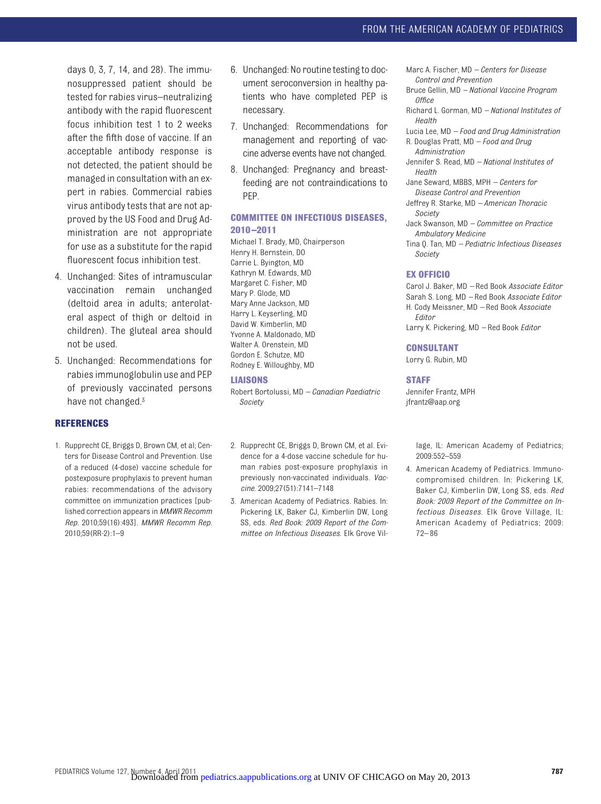days 0, 3, 7, 14, and 28). The immunosuppressed patient should be tested for rabies virus–neutralizing antibody with the rapid fluorescent focus inhibition test 1 to 2 weeks after the fifth dose of vaccine. If an acceptable antibody response is not detected, the patient should be managed in consultation with an expert in rabies. Commercial rabies virus antibody tests that are not approved by the US Food and Drug Administration are not appropriate for use as a substitute for the rapid fluorescent focus inhibition test.

- 4. Unchanged: Sites of intramuscular vaccination remain unchanged (deltoid area in adults; anterolateral aspect of thigh or deltoid in children). The gluteal area should not be used.
- 5. Unchanged: Recommendations for rabies immunoglobulin use and PEP of previously vaccinated persons have not changed.<sup>3</sup>

#### **REFERENCES**

<span id="page-3-0"></span>1. Rupprecht CE, Briggs D, Brown CM, et al; Centers for Disease Control and Prevention. Use of a reduced (4-dose) vaccine schedule for postexposure prophylaxis to prevent human rabies: recommendations of the advisory committee on immunization practices [published correction appears in*MMWR Recomm Rep*. 2010;59(16):493]. *MMWR Recomm Rep*. 2010;59(RR-2):1–9

- 6. Unchanged: No routine testing to document seroconversion in healthy patients who have completed PEP is necessary.
- 7. Unchanged: Recommendations for management and reporting of vaccine adverse events have not changed.
- 8. Unchanged: Pregnancy and breastfeeding are not contraindications to PEP.

#### **COMMITTEE ON INFECTIOUS DISEASES, 2010 –2011**

Michael T. Brady, MD, Chairperson Henry H. Bernstein, DO Carrie L. Byington, MD Kathryn M. Edwards, MD Margaret C. Fisher, MD Mary P. Glode, MD Mary Anne Jackson, MD Harry L. Keyserling, MD David W. Kimberlin, MD Yvonne A. Maldonado, MD Walter A. Orenstein, MD Gordon E. Schutze, MD Rodney E. Willoughby, MD

#### **LIAISONS**

- Robert Bortolussi, MD  *Canadian Paediatric Society*
- <span id="page-3-1"></span>2. Rupprecht CE, Briggs D, Brown CM, et al. Evidence for a 4-dose vaccine schedule for human rabies post-exposure prophylaxis in previously non-vaccinated individuals. *Vaccine*. 2009;27(51):7141–7148
- <span id="page-3-3"></span>3. American Academy of Pediatrics. Rabies. In: Pickering LK, Baker CJ, Kimberlin DW, Long SS, eds. *Red Book: 2009 Report of the Committee on Infectious Diseases*. Elk Grove Vil-
- Marc A. Fischer, MD  *Centers for Disease Control and Prevention*
- Bruce Gellin, MD  *National Vaccine Program Office*
- Richard L. Gorman, MD  *National Institutes of Health*
- Lucia Lee, MD  *Food and Drug Administration* R. Douglas Pratt, MD *– Food and Drug Administration*
- Jennifer S. Read, MD  *National Institutes of Health*
- Jane Seward, MBBS, MPH  *Centers for Disease Control and Prevention*
- Jeffrey R. Starke, MD  *American Thoracic Society*
- Jack Swanson, MD  *Committee on Practice Ambulatory Medicine*
- Tina Q. Tan, MD  *Pediatric Infectious Diseases Society*

#### **EX OFFICIO**

Carol J. Baker, MD *–* Red Book *Associate Editor* Sarah S. Long, MD *–* Red Book *Associate Editor* H. Cody Meissner, MD *–* Red Book *Associate Editor* Larry K. Pickering, MD *–* Red Book *Editor*

#### **CONSULTANT**

Lorry G. Rubin, MD

#### **STAFF**

Jennifer Frantz, MPH jfrantz@aap.org

> lage, IL: American Academy of Pediatrics; 2009:552–559

<span id="page-3-2"></span>4. American Academy of Pediatrics. Immunocompromised children. In: Pickering LK, Baker CJ, Kimberlin DW, Long SS, eds. *Red Book: 2009 Report of the Committee on Infectious Diseases*. Elk Grove Village, IL: American Academy of Pediatrics; 2009: 72– 86